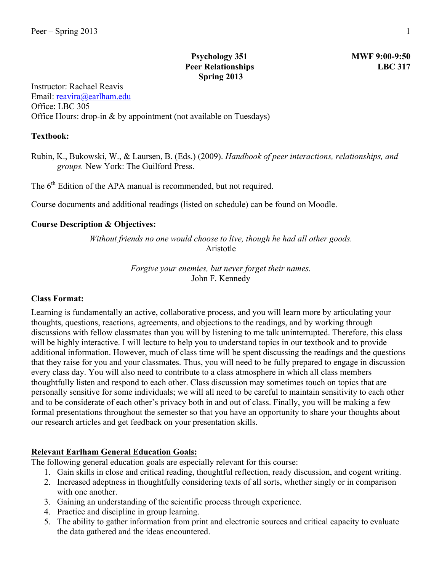# **Psychology 351 MWF 9:00-9:50 Peer Relationships LBC 317 Spring 2013**

Instructor: Rachael Reavis Email: reavira@earlham.edu Office: LBC 305 Office Hours: drop-in & by appointment (not available on Tuesdays)

#### **Textbook:**

Rubin, K., Bukowski, W., & Laursen, B. (Eds.) (2009). *Handbook of peer interactions, relationships, and groups.* New York: The Guilford Press.

The 6<sup>th</sup> Edition of the APA manual is recommended, but not required.

Course documents and additional readings (listed on schedule) can be found on Moodle.

#### **Course Description & Objectives:**

*Without friends no one would choose to live, though he had all other goods.* Aristotle

> *Forgive your enemies, but never forget their names.* John F. Kennedy

#### **Class Format:**

Learning is fundamentally an active, collaborative process, and you will learn more by articulating your thoughts, questions, reactions, agreements, and objections to the readings, and by working through discussions with fellow classmates than you will by listening to me talk uninterrupted. Therefore, this class will be highly interactive. I will lecture to help you to understand topics in our textbook and to provide additional information. However, much of class time will be spent discussing the readings and the questions that they raise for you and your classmates. Thus, you will need to be fully prepared to engage in discussion every class day. You will also need to contribute to a class atmosphere in which all class members thoughtfully listen and respond to each other. Class discussion may sometimes touch on topics that are personally sensitive for some individuals; we will all need to be careful to maintain sensitivity to each other and to be considerate of each other's privacy both in and out of class. Finally, you will be making a few formal presentations throughout the semester so that you have an opportunity to share your thoughts about our research articles and get feedback on your presentation skills.

#### **Relevant Earlham General Education Goals:**

- The following general education goals are especially relevant for this course:
	- 1. Gain skills in close and critical reading, thoughtful reflection, ready discussion, and cogent writing.
	- 2. Increased adeptness in thoughtfully considering texts of all sorts, whether singly or in comparison with one another.
	- 3. Gaining an understanding of the scientific process through experience.
	- 4. Practice and discipline in group learning.
	- 5. The ability to gather information from print and electronic sources and critical capacity to evaluate the data gathered and the ideas encountered.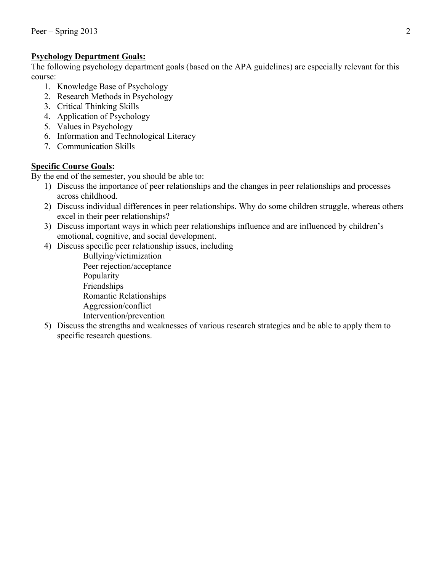# **Psychology Department Goals:**

The following psychology department goals (based on the APA guidelines) are especially relevant for this course:

- 1. Knowledge Base of Psychology
- 2. Research Methods in Psychology
- 3. Critical Thinking Skills
- 4. Application of Psychology
- 5. Values in Psychology
- 6. Information and Technological Literacy
- 7. Communication Skills

# **Specific Course Goals:**

By the end of the semester, you should be able to:

- 1) Discuss the importance of peer relationships and the changes in peer relationships and processes across childhood.
- 2) Discuss individual differences in peer relationships. Why do some children struggle, whereas others excel in their peer relationships?
- 3) Discuss important ways in which peer relationships influence and are influenced by children's emotional, cognitive, and social development.
- 4) Discuss specific peer relationship issues, including
	- Bullying/victimization Peer rejection/acceptance Popularity Friendships Romantic Relationships Aggression/conflict Intervention/prevention
- 5) Discuss the strengths and weaknesses of various research strategies and be able to apply them to specific research questions.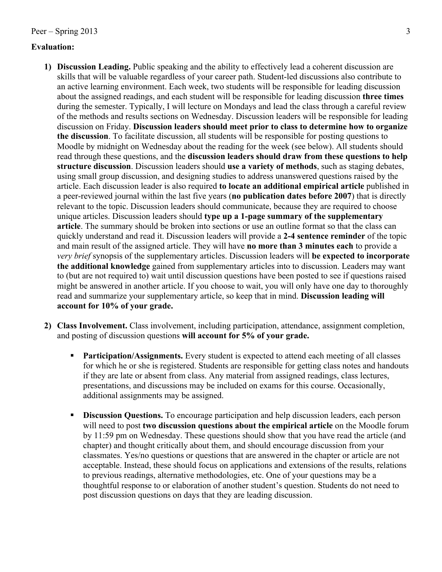## **Evaluation:**

- **1) Discussion Leading.** Public speaking and the ability to effectively lead a coherent discussion are skills that will be valuable regardless of your career path. Student-led discussions also contribute to an active learning environment. Each week, two students will be responsible for leading discussion about the assigned readings, and each student will be responsible for leading discussion **three times** during the semester. Typically, I will lecture on Mondays and lead the class through a careful review of the methods and results sections on Wednesday. Discussion leaders will be responsible for leading discussion on Friday. **Discussion leaders should meet prior to class to determine how to organize the discussion**. To facilitate discussion, all students will be responsible for posting questions to Moodle by midnight on Wednesday about the reading for the week (see below). All students should read through these questions, and the **discussion leaders should draw from these questions to help structure discussion**. Discussion leaders should **use a variety of methods**, such as staging debates, using small group discussion, and designing studies to address unanswered questions raised by the article. Each discussion leader is also required **to locate an additional empirical article** published in a peer-reviewed journal within the last five years (**no publication dates before 2007**) that is directly relevant to the topic. Discussion leaders should communicate, because they are required to choose unique articles. Discussion leaders should **type up a 1-page summary of the supplementary article**. The summary should be broken into sections or use an outline format so that the class can quickly understand and read it. Discussion leaders will provide a **2-4 sentence reminder** of the topic and main result of the assigned article. They will have **no more than 3 minutes each** to provide a *very brief* synopsis of the supplementary articles. Discussion leaders will **be expected to incorporate the additional knowledge** gained from supplementary articles into to discussion. Leaders may want to (but are not required to) wait until discussion questions have been posted to see if questions raised might be answered in another article. If you choose to wait, you will only have one day to thoroughly read and summarize your supplementary article, so keep that in mind. **Discussion leading will account for 10% of your grade.**
- **2) Class Involvement.** Class involvement, including participation, attendance, assignment completion, and posting of discussion questions **will account for 5% of your grade.**
	- **• Participation/Assignments.** Every student is expected to attend each meeting of all classes for which he or she is registered. Students are responsible for getting class notes and handouts if they are late or absent from class. Any material from assigned readings, class lectures, presentations, and discussions may be included on exams for this course. Occasionally, additional assignments may be assigned.
	- **Discussion Questions.** To encourage participation and help discussion leaders, each person will need to post **two discussion questions about the empirical article** on the Moodle forum by 11:59 pm on Wednesday. These questions should show that you have read the article (and chapter) and thought critically about them, and should encourage discussion from your classmates. Yes/no questions or questions that are answered in the chapter or article are not acceptable. Instead, these should focus on applications and extensions of the results, relations to previous readings, alternative methodologies, etc. One of your questions may be a thoughtful response to or elaboration of another student's question. Students do not need to post discussion questions on days that they are leading discussion.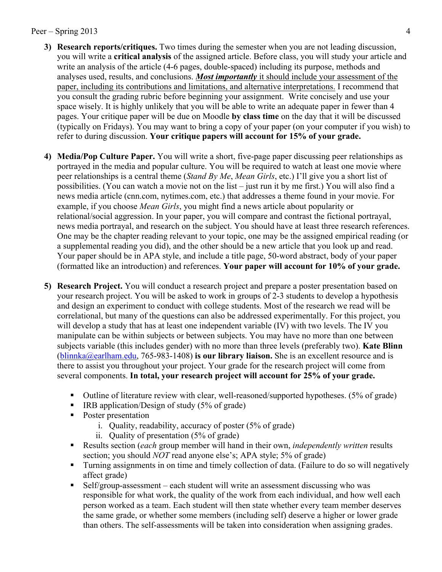### Peer – Spring 2013 4

- **3) Research reports/critiques.** Two times during the semester when you are not leading discussion, you will write a **critical analysis** of the assigned article. Before class, you will study your article and write an analysis of the article (4-6 pages, double-spaced) including its purpose, methods and analyses used, results, and conclusions. *Most importantly* it should include your assessment of the paper, including its contributions and limitations, and alternative interpretations. I recommend that you consult the grading rubric before beginning your assignment. Write concisely and use your space wisely. It is highly unlikely that you will be able to write an adequate paper in fewer than 4 pages. Your critique paper will be due on Moodle **by class time** on the day that it will be discussed (typically on Fridays). You may want to bring a copy of your paper (on your computer if you wish) to refer to during discussion. **Your critique papers will account for 15% of your grade.**
- **4) Media/Pop Culture Paper.** You will write a short, five-page paper discussing peer relationships as portrayed in the media and popular culture. You will be required to watch at least one movie where peer relationships is a central theme (*Stand By Me*, *Mean Girls*, etc.) I'll give you a short list of possibilities. (You can watch a movie not on the list – just run it by me first.) You will also find a news media article (cnn.com, nytimes.com, etc.) that addresses a theme found in your movie. For example, if you choose *Mean Girls*, you might find a news article about popularity or relational/social aggression. In your paper, you will compare and contrast the fictional portrayal, news media portrayal, and research on the subject. You should have at least three research references. One may be the chapter reading relevant to your topic, one may be the assigned empirical reading (or a supplemental reading you did), and the other should be a new article that you look up and read. Your paper should be in APA style, and include a title page, 50-word abstract, body of your paper (formatted like an introduction) and references. **Your paper will account for 10% of your grade.**
- **5) Research Project.** You will conduct a research project and prepare a poster presentation based on your research project. You will be asked to work in groups of 2-3 students to develop a hypothesis and design an experiment to conduct with college students. Most of the research we read will be correlational, but many of the questions can also be addressed experimentally. For this project, you will develop a study that has at least one independent variable (IV) with two levels. The IV you manipulate can be within subjects or between subjects. You may have no more than one between subjects variable (this includes gender) with no more than three levels (preferably two). **Kate Blinn**  (blinnka@earlham.edu, 765-983-1408) **is our library liaison.** She is an excellent resource and is there to assist you throughout your project. Your grade for the research project will come from several components. **In total, your research project will account for 25% of your grade.**
	- Outline of literature review with clear, well-reasoned/supported hypotheses. (5% of grade)
	- IRB application/Design of study (5% of grade)
	- Poster presentation
		- i. Quality, readability, accuracy of poster (5% of grade)
		- ii. Quality of presentation (5% of grade)
	- § Results section (*each* group member will hand in their own, *independently written* results section; you should *NOT* read anyone else's; APA style; 5% of grade)
	- § Turning assignments in on time and timely collection of data. (Failure to do so will negatively affect grade)
	- Self/group-assessment each student will write an assessment discussing who was responsible for what work, the quality of the work from each individual, and how well each person worked as a team. Each student will then state whether every team member deserves the same grade, or whether some members (including self) deserve a higher or lower grade than others. The self-assessments will be taken into consideration when assigning grades.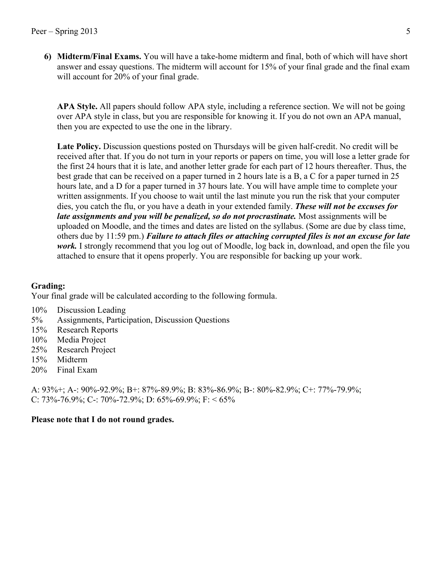**6) Midterm/Final Exams.** You will have a take-home midterm and final, both of which will have short answer and essay questions. The midterm will account for 15% of your final grade and the final exam will account for 20% of your final grade.

**APA Style.** All papers should follow APA style, including a reference section. We will not be going over APA style in class, but you are responsible for knowing it. If you do not own an APA manual, then you are expected to use the one in the library.

**Late Policy.** Discussion questions posted on Thursdays will be given half-credit. No credit will be received after that. If you do not turn in your reports or papers on time, you will lose a letter grade for the first 24 hours that it is late, and another letter grade for each part of 12 hours thereafter. Thus, the best grade that can be received on a paper turned in 2 hours late is a B, a C for a paper turned in 25 hours late, and a D for a paper turned in 37 hours late. You will have ample time to complete your written assignments. If you choose to wait until the last minute you run the risk that your computer dies, you catch the flu, or you have a death in your extended family. *These will not be excuses for late assignments and you will be penalized, so do not procrastinate.* Most assignments will be uploaded on Moodle, and the times and dates are listed on the syllabus. (Some are due by class time, others due by 11:59 pm.) *Failure to attach files or attaching corrupted files is not an excuse for late work.* I strongly recommend that you log out of Moodle, log back in, download, and open the file you attached to ensure that it opens properly. You are responsible for backing up your work.

## **Grading:**

Your final grade will be calculated according to the following formula.

- 10% Discussion Leading
- 5% Assignments, Participation, Discussion Questions
- 15% Research Reports
- 10% Media Project
- 25% Research Project
- 15% Midterm
- 20% Final Exam

A: 93%+; A-: 90%-92.9%; B+: 87%-89.9%; B: 83%-86.9%; B-: 80%-82.9%; C+: 77%-79.9%; C: 73%-76.9%; C-: 70%-72.9%; D: 65%-69.9%; F: < 65%

## **Please note that I do not round grades.**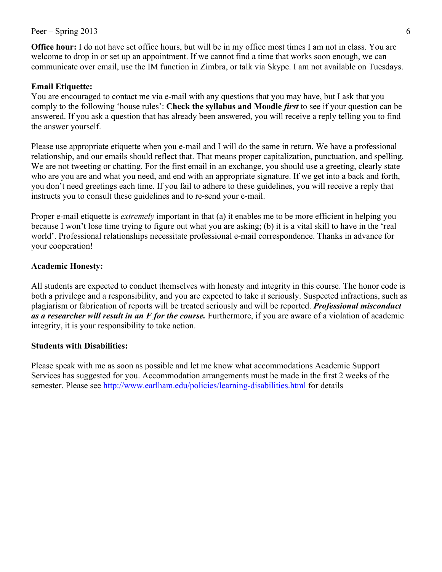#### $Peer - Spring 2013$  6

**Office hour:** I do not have set office hours, but will be in my office most times I am not in class. You are welcome to drop in or set up an appointment. If we cannot find a time that works soon enough, we can communicate over email, use the IM function in Zimbra, or talk via Skype. I am not available on Tuesdays.

#### **Email Etiquette:**

You are encouraged to contact me via e-mail with any questions that you may have, but I ask that you comply to the following 'house rules': **Check the syllabus and Moodle** *first* to see if your question can be answered. If you ask a question that has already been answered, you will receive a reply telling you to find the answer yourself.

Please use appropriate etiquette when you e-mail and I will do the same in return. We have a professional relationship, and our emails should reflect that. That means proper capitalization, punctuation, and spelling. We are not tweeting or chatting. For the first email in an exchange, you should use a greeting, clearly state who are you are and what you need, and end with an appropriate signature. If we get into a back and forth, you don't need greetings each time. If you fail to adhere to these guidelines, you will receive a reply that instructs you to consult these guidelines and to re-send your e-mail.

Proper e-mail etiquette is *extremely* important in that (a) it enables me to be more efficient in helping you because I won't lose time trying to figure out what you are asking; (b) it is a vital skill to have in the 'real world'. Professional relationships necessitate professional e-mail correspondence. Thanks in advance for your cooperation!

## **Academic Honesty:**

All students are expected to conduct themselves with honesty and integrity in this course. The honor code is both a privilege and a responsibility, and you are expected to take it seriously. Suspected infractions, such as plagiarism or fabrication of reports will be treated seriously and will be reported. *Professional misconduct as a researcher will result in an F for the course.* Furthermore, if you are aware of a violation of academic integrity, it is your responsibility to take action.

#### **Students with Disabilities:**

Please speak with me as soon as possible and let me know what accommodations Academic Support Services has suggested for you. Accommodation arrangements must be made in the first 2 weeks of the semester. Please see http://www.earlham.edu/policies/learning-disabilities.html for details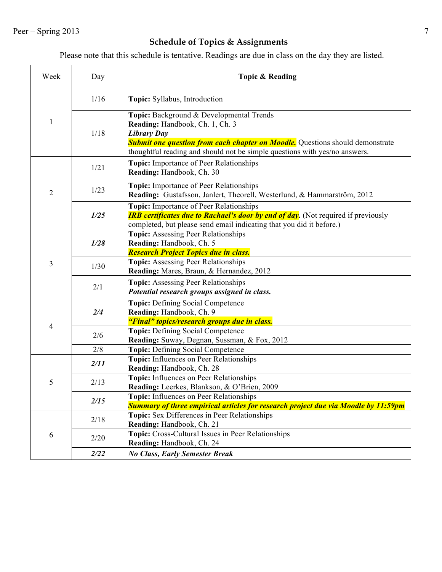# **Schedule of Topics & Assignments**

Please note that this schedule is tentative. Readings are due in class on the day they are listed.

| Week           | Day  | Topic & Reading                                                                                                                                                                                                                                                         |
|----------------|------|-------------------------------------------------------------------------------------------------------------------------------------------------------------------------------------------------------------------------------------------------------------------------|
| 1              | 1/16 | Topic: Syllabus, Introduction                                                                                                                                                                                                                                           |
|                | 1/18 | Topic: Background & Developmental Trends<br>Reading: Handbook, Ch. 1, Ch. 3<br><b>Library Day</b><br><b>Submit one question from each chapter on Moodle.</b> Questions should demonstrate<br>thoughtful reading and should not be simple questions with yes/no answers. |
| $\overline{2}$ | 1/21 | <b>Topic:</b> Importance of Peer Relationships<br>Reading: Handbook, Ch. 30                                                                                                                                                                                             |
|                | 1/23 | <b>Topic:</b> Importance of Peer Relationships<br>Reading: Gustafsson, Janlert, Theorell, Westerlund, & Hammarström, 2012                                                                                                                                               |
|                | 1/25 | Topic: Importance of Peer Relationships<br><b>IRB certificates due to Rachael's door by end of day.</b> (Not required if previously<br>completed, but please send email indicating that you did it before.)                                                             |
| 3              | 1/28 | <b>Topic:</b> Assessing Peer Relationships<br>Reading: Handbook, Ch. 5<br>Research Project Topics due in class.                                                                                                                                                         |
|                | 1/30 | <b>Topic:</b> Assessing Peer Relationships<br>Reading: Mares, Braun, & Hernandez, 2012                                                                                                                                                                                  |
|                | 2/1  | <b>Topic:</b> Assessing Peer Relationships<br>Potential research groups assigned in class.                                                                                                                                                                              |
| 4              | 2/4  | <b>Topic:</b> Defining Social Competence<br>Reading: Handbook, Ch. 9<br>"Final" topics/research groups due in class.                                                                                                                                                    |
|                | 2/6  | <b>Topic:</b> Defining Social Competence<br>Reading: Suway, Degnan, Sussman, & Fox, 2012                                                                                                                                                                                |
|                | 2/8  | Topic: Defining Social Competence                                                                                                                                                                                                                                       |
| 5              | 2/11 | Topic: Influences on Peer Relationships<br>Reading: Handbook, Ch. 28                                                                                                                                                                                                    |
|                | 2/13 | Topic: Influences on Peer Relationships<br>Reading: Leerkes, Blankson, & O'Brien, 2009                                                                                                                                                                                  |
|                | 2/15 | Topic: Influences on Peer Relationships<br><b>Summary of three empirical articles for research project due via Moodle by 11:59pm</b>                                                                                                                                    |
| 6              | 2/18 | Topic: Sex Differences in Peer Relationships<br>Reading: Handbook, Ch. 21                                                                                                                                                                                               |
|                | 2/20 | Topic: Cross-Cultural Issues in Peer Relationships<br>Reading: Handbook, Ch. 24                                                                                                                                                                                         |
|                | 2/22 | <b>No Class, Early Semester Break</b>                                                                                                                                                                                                                                   |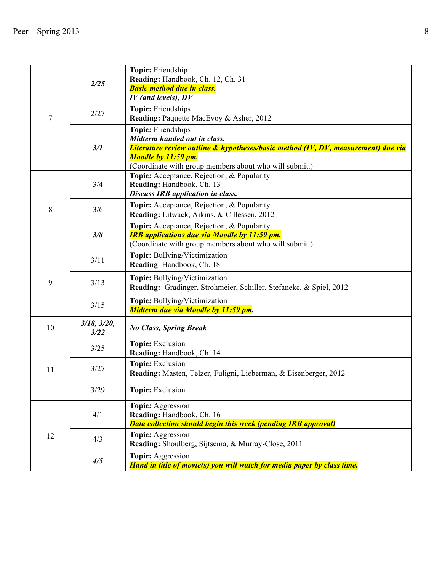| 7  | 2/25                      | Topic: Friendship<br>Reading: Handbook, Ch. 12, Ch. 31<br><b>Basic method due in class.</b><br>$IV$ (and levels), $DV$                                                                                                   |
|----|---------------------------|--------------------------------------------------------------------------------------------------------------------------------------------------------------------------------------------------------------------------|
|    | 2/27                      | Topic: Friendships<br>Reading: Paquette MacEvoy & Asher, 2012                                                                                                                                                            |
|    | 3/1                       | Topic: Friendships<br>Midterm handed out in class.<br>Literature review outline & hypotheses/basic method (IV, DV, measurement) due via<br>Moodle by 11:59 pm.<br>(Coordinate with group members about who will submit.) |
| 8  | 3/4                       | Topic: Acceptance, Rejection, & Popularity<br>Reading: Handbook, Ch. 13<br><b>Discuss IRB application in class.</b>                                                                                                      |
|    | 3/6                       | Topic: Acceptance, Rejection, & Popularity<br>Reading: Litwack, Aikins, & Cillessen, 2012                                                                                                                                |
|    | 3/8                       | Topic: Acceptance, Rejection, & Popularity<br><b>IRB</b> applications due via Moodle by 11:59 pm.<br>(Coordinate with group members about who will submit.)                                                              |
| 9  | 3/11                      | Topic: Bullying/Victimization<br>Reading: Handbook, Ch. 18                                                                                                                                                               |
|    | 3/13                      | <b>Topic:</b> Bullying/Victimization<br>Reading: Gradinger, Strohmeier, Schiller, Stefanekc, & Spiel, 2012                                                                                                               |
|    | 3/15                      | Topic: Bullying/Victimization<br>Midterm due via Moodle by 11:59 pm.                                                                                                                                                     |
| 10 | $3/18$ , $3/20$ ,<br>3/22 | <b>No Class, Spring Break</b>                                                                                                                                                                                            |
| 11 | 3/25                      | Topic: Exclusion<br>Reading: Handbook, Ch. 14                                                                                                                                                                            |
|    | 3/27                      | Topic: Exclusion<br>Reading: Masten, Telzer, Fuligni, Lieberman, & Eisenberger, 2012                                                                                                                                     |
|    | 3/29                      | Topic: Exclusion                                                                                                                                                                                                         |
| 12 | 4/1                       | Topic: Aggression<br>Reading: Handbook, Ch. 16<br>Data collection should begin this week (pending IRB approval)                                                                                                          |
|    | 4/3                       | Topic: Aggression<br>Reading: Shoulberg, Sijtsema, & Murray-Close, 2011                                                                                                                                                  |
|    | 4/5                       | Topic: Aggression<br>Hand in title of movie(s) you will watch for media paper by class time.                                                                                                                             |